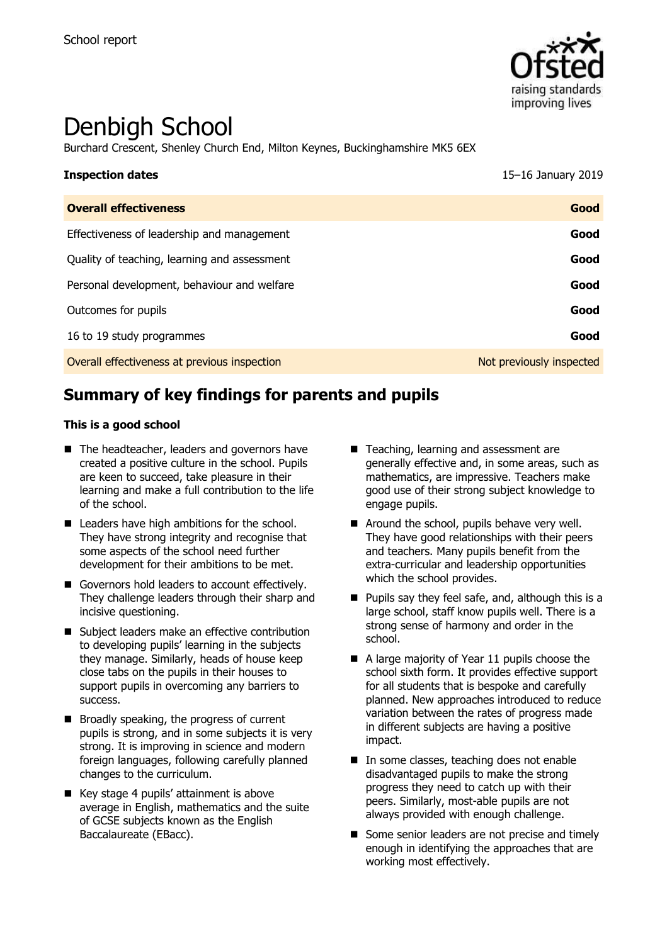

# Denbigh School

Burchard Crescent, Shenley Church End, Milton Keynes, Buckinghamshire MK5 6EX

| <b>Inspection dates</b>                      | 15-16 January 2019       |
|----------------------------------------------|--------------------------|
| <b>Overall effectiveness</b>                 | Good                     |
| Effectiveness of leadership and management   | Good                     |
| Quality of teaching, learning and assessment | Good                     |
| Personal development, behaviour and welfare  | Good                     |
| Outcomes for pupils                          | Good                     |
| 16 to 19 study programmes                    | Good                     |
| Overall effectiveness at previous inspection | Not previously inspected |

# **Summary of key findings for parents and pupils**

#### **This is a good school**

- The headteacher, leaders and governors have created a positive culture in the school. Pupils are keen to succeed, take pleasure in their learning and make a full contribution to the life of the school.
- Leaders have high ambitions for the school. They have strong integrity and recognise that some aspects of the school need further development for their ambitions to be met.
- Governors hold leaders to account effectively. They challenge leaders through their sharp and incisive questioning.
- Subject leaders make an effective contribution to developing pupils' learning in the subjects they manage. Similarly, heads of house keep close tabs on the pupils in their houses to support pupils in overcoming any barriers to success.
- Broadly speaking, the progress of current pupils is strong, and in some subjects it is very strong. It is improving in science and modern foreign languages, following carefully planned changes to the curriculum.
- Key stage 4 pupils' attainment is above average in English, mathematics and the suite of GCSE subjects known as the English Baccalaureate (EBacc).
- Teaching, learning and assessment are generally effective and, in some areas, such as mathematics, are impressive. Teachers make good use of their strong subject knowledge to engage pupils.
- Around the school, pupils behave very well. They have good relationships with their peers and teachers. Many pupils benefit from the extra-curricular and leadership opportunities which the school provides.
- **Pupils say they feel safe, and, although this is a** large school, staff know pupils well. There is a strong sense of harmony and order in the school.
- A large majority of Year 11 pupils choose the school sixth form. It provides effective support for all students that is bespoke and carefully planned. New approaches introduced to reduce variation between the rates of progress made in different subjects are having a positive impact.
- In some classes, teaching does not enable disadvantaged pupils to make the strong progress they need to catch up with their peers. Similarly, most-able pupils are not always provided with enough challenge.
- Some senior leaders are not precise and timely enough in identifying the approaches that are working most effectively.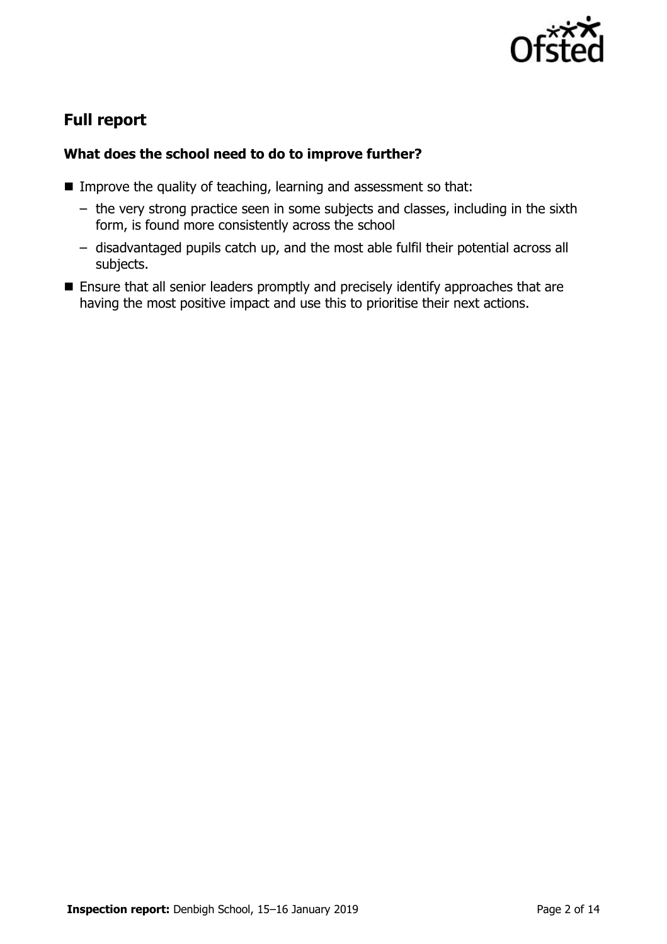

# **Full report**

### **What does the school need to do to improve further?**

- Improve the quality of teaching, learning and assessment so that:
	- the very strong practice seen in some subjects and classes, including in the sixth form, is found more consistently across the school
	- disadvantaged pupils catch up, and the most able fulfil their potential across all subjects.
- **Ensure that all senior leaders promptly and precisely identify approaches that are** having the most positive impact and use this to prioritise their next actions.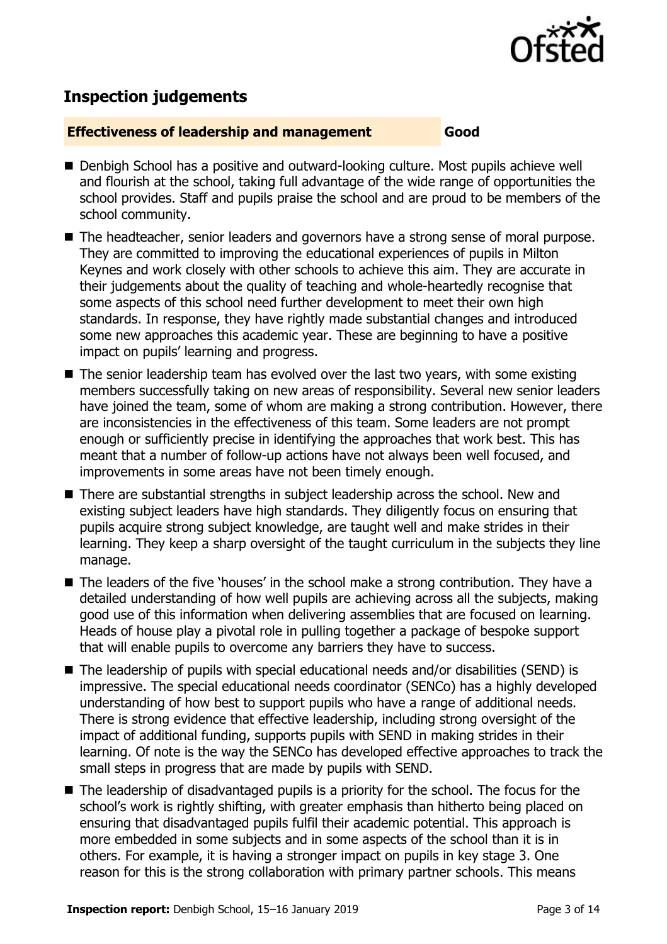

# **Inspection judgements**

#### **Effectiveness of leadership and management Good**

- Denbigh School has a positive and outward-looking culture. Most pupils achieve well and flourish at the school, taking full advantage of the wide range of opportunities the school provides. Staff and pupils praise the school and are proud to be members of the school community.
- The headteacher, senior leaders and governors have a strong sense of moral purpose. They are committed to improving the educational experiences of pupils in Milton Keynes and work closely with other schools to achieve this aim. They are accurate in their judgements about the quality of teaching and whole-heartedly recognise that some aspects of this school need further development to meet their own high standards. In response, they have rightly made substantial changes and introduced some new approaches this academic year. These are beginning to have a positive impact on pupils' learning and progress.
- The senior leadership team has evolved over the last two years, with some existing members successfully taking on new areas of responsibility. Several new senior leaders have joined the team, some of whom are making a strong contribution. However, there are inconsistencies in the effectiveness of this team. Some leaders are not prompt enough or sufficiently precise in identifying the approaches that work best. This has meant that a number of follow-up actions have not always been well focused, and improvements in some areas have not been timely enough.
- There are substantial strengths in subject leadership across the school. New and existing subject leaders have high standards. They diligently focus on ensuring that pupils acquire strong subject knowledge, are taught well and make strides in their learning. They keep a sharp oversight of the taught curriculum in the subjects they line manage.
- The leaders of the five 'houses' in the school make a strong contribution. They have a detailed understanding of how well pupils are achieving across all the subjects, making good use of this information when delivering assemblies that are focused on learning. Heads of house play a pivotal role in pulling together a package of bespoke support that will enable pupils to overcome any barriers they have to success.
- The leadership of pupils with special educational needs and/or disabilities (SEND) is impressive. The special educational needs coordinator (SENCo) has a highly developed understanding of how best to support pupils who have a range of additional needs. There is strong evidence that effective leadership, including strong oversight of the impact of additional funding, supports pupils with SEND in making strides in their learning. Of note is the way the SENCo has developed effective approaches to track the small steps in progress that are made by pupils with SEND.
- The leadership of disadvantaged pupils is a priority for the school. The focus for the school's work is rightly shifting, with greater emphasis than hitherto being placed on ensuring that disadvantaged pupils fulfil their academic potential. This approach is more embedded in some subjects and in some aspects of the school than it is in others. For example, it is having a stronger impact on pupils in key stage 3. One reason for this is the strong collaboration with primary partner schools. This means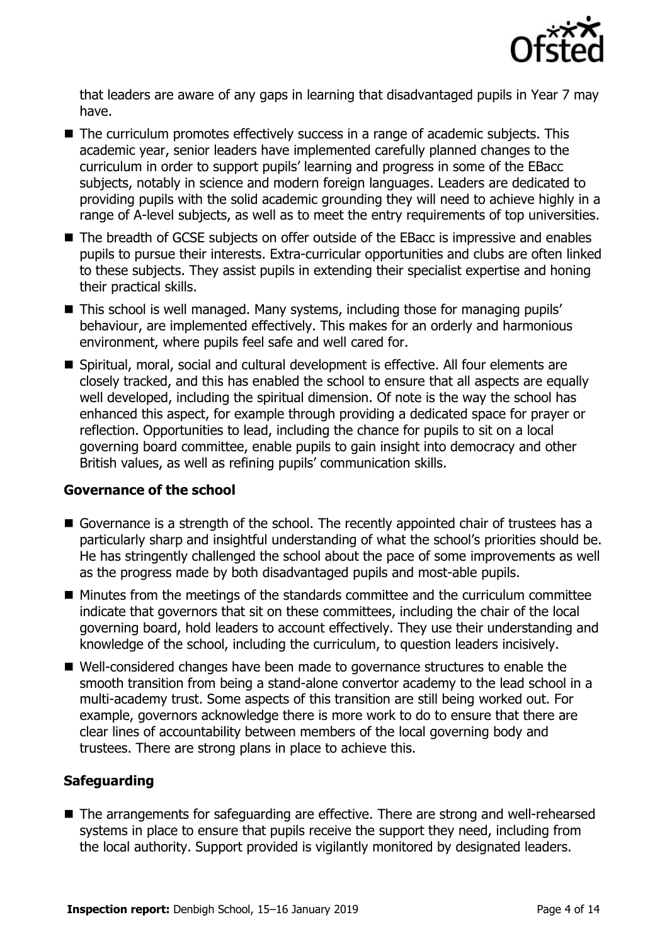

that leaders are aware of any gaps in learning that disadvantaged pupils in Year 7 may have.

- The curriculum promotes effectively success in a range of academic subjects. This academic year, senior leaders have implemented carefully planned changes to the curriculum in order to support pupils' learning and progress in some of the EBacc subjects, notably in science and modern foreign languages. Leaders are dedicated to providing pupils with the solid academic grounding they will need to achieve highly in a range of A-level subjects, as well as to meet the entry requirements of top universities.
- The breadth of GCSE subjects on offer outside of the EBacc is impressive and enables pupils to pursue their interests. Extra-curricular opportunities and clubs are often linked to these subjects. They assist pupils in extending their specialist expertise and honing their practical skills.
- This school is well managed. Many systems, including those for managing pupils' behaviour, are implemented effectively. This makes for an orderly and harmonious environment, where pupils feel safe and well cared for.
- Spiritual, moral, social and cultural development is effective. All four elements are closely tracked, and this has enabled the school to ensure that all aspects are equally well developed, including the spiritual dimension. Of note is the way the school has enhanced this aspect, for example through providing a dedicated space for prayer or reflection. Opportunities to lead, including the chance for pupils to sit on a local governing board committee, enable pupils to gain insight into democracy and other British values, as well as refining pupils' communication skills.

#### **Governance of the school**

- Governance is a strength of the school. The recently appointed chair of trustees has a particularly sharp and insightful understanding of what the school's priorities should be. He has stringently challenged the school about the pace of some improvements as well as the progress made by both disadvantaged pupils and most-able pupils.
- $\blacksquare$  Minutes from the meetings of the standards committee and the curriculum committee indicate that governors that sit on these committees, including the chair of the local governing board, hold leaders to account effectively. They use their understanding and knowledge of the school, including the curriculum, to question leaders incisively.
- Well-considered changes have been made to governance structures to enable the smooth transition from being a stand-alone convertor academy to the lead school in a multi-academy trust. Some aspects of this transition are still being worked out. For example, governors acknowledge there is more work to do to ensure that there are clear lines of accountability between members of the local governing body and trustees. There are strong plans in place to achieve this.

#### **Safeguarding**

■ The arrangements for safeguarding are effective. There are strong and well-rehearsed systems in place to ensure that pupils receive the support they need, including from the local authority. Support provided is vigilantly monitored by designated leaders.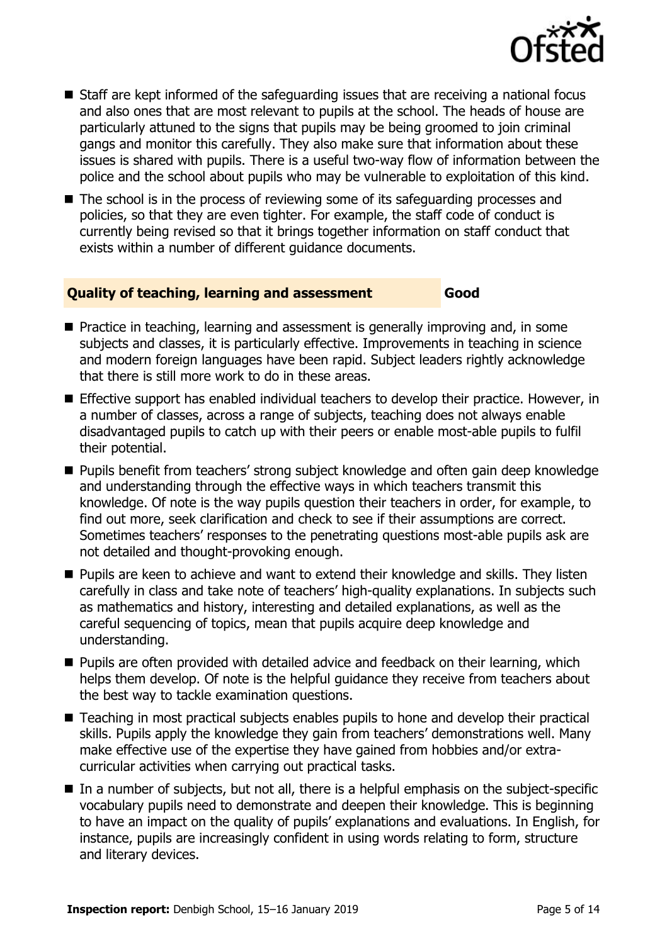

- $\blacksquare$  Staff are kept informed of the safeguarding issues that are receiving a national focus and also ones that are most relevant to pupils at the school. The heads of house are particularly attuned to the signs that pupils may be being groomed to join criminal gangs and monitor this carefully. They also make sure that information about these issues is shared with pupils. There is a useful two-way flow of information between the police and the school about pupils who may be vulnerable to exploitation of this kind.
- The school is in the process of reviewing some of its safeguarding processes and policies, so that they are even tighter. For example, the staff code of conduct is currently being revised so that it brings together information on staff conduct that exists within a number of different guidance documents.

#### **Quality of teaching, learning and assessment Good**

- **Practice in teaching, learning and assessment is generally improving and, in some** subjects and classes, it is particularly effective. Improvements in teaching in science and modern foreign languages have been rapid. Subject leaders rightly acknowledge that there is still more work to do in these areas.
- **Effective support has enabled individual teachers to develop their practice. However, in** a number of classes, across a range of subjects, teaching does not always enable disadvantaged pupils to catch up with their peers or enable most-able pupils to fulfil their potential.
- **Pupils benefit from teachers' strong subject knowledge and often gain deep knowledge** and understanding through the effective ways in which teachers transmit this knowledge. Of note is the way pupils question their teachers in order, for example, to find out more, seek clarification and check to see if their assumptions are correct. Sometimes teachers' responses to the penetrating questions most-able pupils ask are not detailed and thought-provoking enough.
- **Pupils are keen to achieve and want to extend their knowledge and skills. They listen** carefully in class and take note of teachers' high-quality explanations. In subjects such as mathematics and history, interesting and detailed explanations, as well as the careful sequencing of topics, mean that pupils acquire deep knowledge and understanding.
- **Pupils are often provided with detailed advice and feedback on their learning, which** helps them develop. Of note is the helpful guidance they receive from teachers about the best way to tackle examination questions.
- Teaching in most practical subjects enables pupils to hone and develop their practical skills. Pupils apply the knowledge they gain from teachers' demonstrations well. Many make effective use of the expertise they have gained from hobbies and/or extracurricular activities when carrying out practical tasks.
- In a number of subjects, but not all, there is a helpful emphasis on the subject-specific vocabulary pupils need to demonstrate and deepen their knowledge. This is beginning to have an impact on the quality of pupils' explanations and evaluations. In English, for instance, pupils are increasingly confident in using words relating to form, structure and literary devices.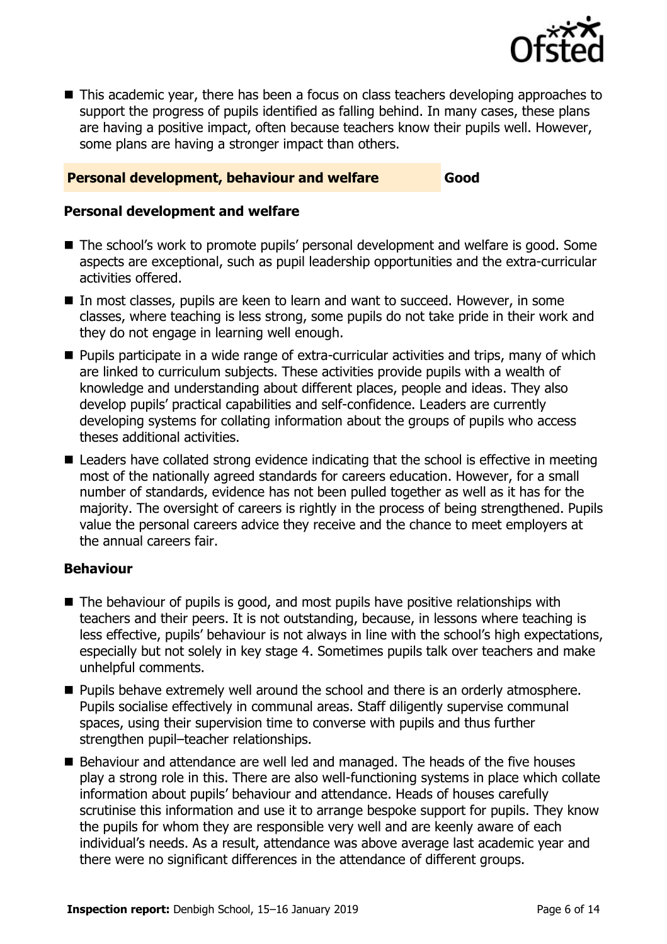

■ This academic year, there has been a focus on class teachers developing approaches to support the progress of pupils identified as falling behind. In many cases, these plans are having a positive impact, often because teachers know their pupils well. However, some plans are having a stronger impact than others.

#### **Personal development, behaviour and welfare Good**

#### **Personal development and welfare**

- The school's work to promote pupils' personal development and welfare is good. Some aspects are exceptional, such as pupil leadership opportunities and the extra-curricular activities offered.
- In most classes, pupils are keen to learn and want to succeed. However, in some classes, where teaching is less strong, some pupils do not take pride in their work and they do not engage in learning well enough.
- **Pupils participate in a wide range of extra-curricular activities and trips, many of which** are linked to curriculum subjects. These activities provide pupils with a wealth of knowledge and understanding about different places, people and ideas. They also develop pupils' practical capabilities and self-confidence. Leaders are currently developing systems for collating information about the groups of pupils who access theses additional activities.
- Leaders have collated strong evidence indicating that the school is effective in meeting most of the nationally agreed standards for careers education. However, for a small number of standards, evidence has not been pulled together as well as it has for the majority. The oversight of careers is rightly in the process of being strengthened. Pupils value the personal careers advice they receive and the chance to meet employers at the annual careers fair.

#### **Behaviour**

- $\blacksquare$  The behaviour of pupils is good, and most pupils have positive relationships with teachers and their peers. It is not outstanding, because, in lessons where teaching is less effective, pupils' behaviour is not always in line with the school's high expectations, especially but not solely in key stage 4. Sometimes pupils talk over teachers and make unhelpful comments.
- **Pupils behave extremely well around the school and there is an orderly atmosphere.** Pupils socialise effectively in communal areas. Staff diligently supervise communal spaces, using their supervision time to converse with pupils and thus further strengthen pupil–teacher relationships.
- Behaviour and attendance are well led and managed. The heads of the five houses play a strong role in this. There are also well-functioning systems in place which collate information about pupils' behaviour and attendance. Heads of houses carefully scrutinise this information and use it to arrange bespoke support for pupils. They know the pupils for whom they are responsible very well and are keenly aware of each individual's needs. As a result, attendance was above average last academic year and there were no significant differences in the attendance of different groups.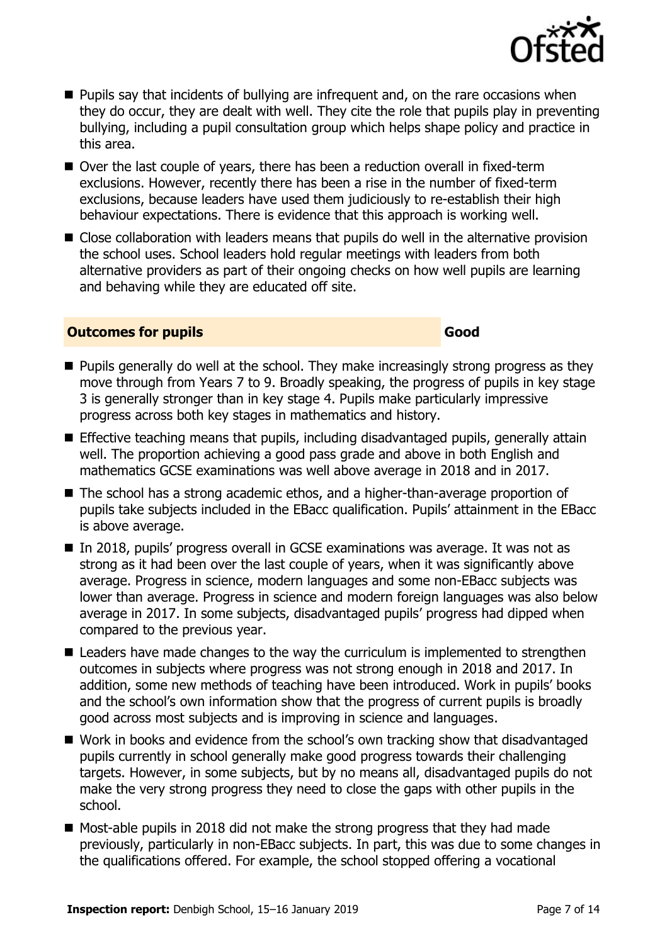- **Pupils say that incidents of bullying are infrequent and, on the rare occasions when** they do occur, they are dealt with well. They cite the role that pupils play in preventing bullying, including a pupil consultation group which helps shape policy and practice in this area.
- Over the last couple of years, there has been a reduction overall in fixed-term exclusions. However, recently there has been a rise in the number of fixed-term exclusions, because leaders have used them judiciously to re-establish their high behaviour expectations. There is evidence that this approach is working well.
- Close collaboration with leaders means that pupils do well in the alternative provision the school uses. School leaders hold regular meetings with leaders from both alternative providers as part of their ongoing checks on how well pupils are learning and behaving while they are educated off site.

#### **Outcomes for pupils Good**

- **Pupils generally do well at the school. They make increasingly strong progress as they** move through from Years 7 to 9. Broadly speaking, the progress of pupils in key stage 3 is generally stronger than in key stage 4. Pupils make particularly impressive progress across both key stages in mathematics and history.
- **Effective teaching means that pupils, including disadvantaged pupils, generally attain** well. The proportion achieving a good pass grade and above in both English and mathematics GCSE examinations was well above average in 2018 and in 2017.
- The school has a strong academic ethos, and a higher-than-average proportion of pupils take subjects included in the EBacc qualification. Pupils' attainment in the EBacc is above average.
- In 2018, pupils' progress overall in GCSE examinations was average. It was not as strong as it had been over the last couple of years, when it was significantly above average. Progress in science, modern languages and some non-EBacc subjects was lower than average. Progress in science and modern foreign languages was also below average in 2017. In some subjects, disadvantaged pupils' progress had dipped when compared to the previous year.
- Leaders have made changes to the way the curriculum is implemented to strengthen outcomes in subjects where progress was not strong enough in 2018 and 2017. In addition, some new methods of teaching have been introduced. Work in pupils' books and the school's own information show that the progress of current pupils is broadly good across most subjects and is improving in science and languages.
- Work in books and evidence from the school's own tracking show that disadvantaged pupils currently in school generally make good progress towards their challenging targets. However, in some subjects, but by no means all, disadvantaged pupils do not make the very strong progress they need to close the gaps with other pupils in the school.
- Most-able pupils in 2018 did not make the strong progress that they had made previously, particularly in non-EBacc subjects. In part, this was due to some changes in the qualifications offered. For example, the school stopped offering a vocational

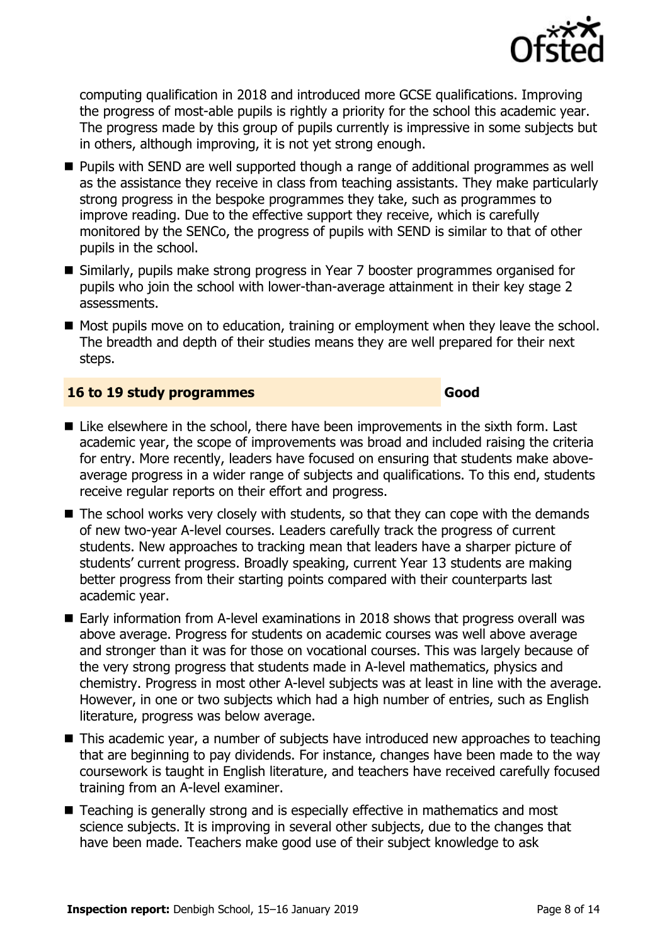

computing qualification in 2018 and introduced more GCSE qualifications. Improving the progress of most-able pupils is rightly a priority for the school this academic year. The progress made by this group of pupils currently is impressive in some subjects but in others, although improving, it is not yet strong enough.

- Pupils with SEND are well supported though a range of additional programmes as well as the assistance they receive in class from teaching assistants. They make particularly strong progress in the bespoke programmes they take, such as programmes to improve reading. Due to the effective support they receive, which is carefully monitored by the SENCo, the progress of pupils with SEND is similar to that of other pupils in the school.
- Similarly, pupils make strong progress in Year 7 booster programmes organised for pupils who join the school with lower-than-average attainment in their key stage 2 assessments.
- Most pupils move on to education, training or employment when they leave the school. The breadth and depth of their studies means they are well prepared for their next steps.

#### **16 to 19 study programmes Good**

- Like elsewhere in the school, there have been improvements in the sixth form. Last academic year, the scope of improvements was broad and included raising the criteria for entry. More recently, leaders have focused on ensuring that students make aboveaverage progress in a wider range of subjects and qualifications. To this end, students receive regular reports on their effort and progress.
- $\blacksquare$  The school works very closely with students, so that they can cope with the demands of new two-year A-level courses. Leaders carefully track the progress of current students. New approaches to tracking mean that leaders have a sharper picture of students' current progress. Broadly speaking, current Year 13 students are making better progress from their starting points compared with their counterparts last academic year.
- Early information from A-level examinations in 2018 shows that progress overall was above average. Progress for students on academic courses was well above average and stronger than it was for those on vocational courses. This was largely because of the very strong progress that students made in A-level mathematics, physics and chemistry. Progress in most other A-level subjects was at least in line with the average. However, in one or two subjects which had a high number of entries, such as English literature, progress was below average.
- This academic year, a number of subjects have introduced new approaches to teaching that are beginning to pay dividends. For instance, changes have been made to the way coursework is taught in English literature, and teachers have received carefully focused training from an A-level examiner.
- Teaching is generally strong and is especially effective in mathematics and most science subjects. It is improving in several other subjects, due to the changes that have been made. Teachers make good use of their subject knowledge to ask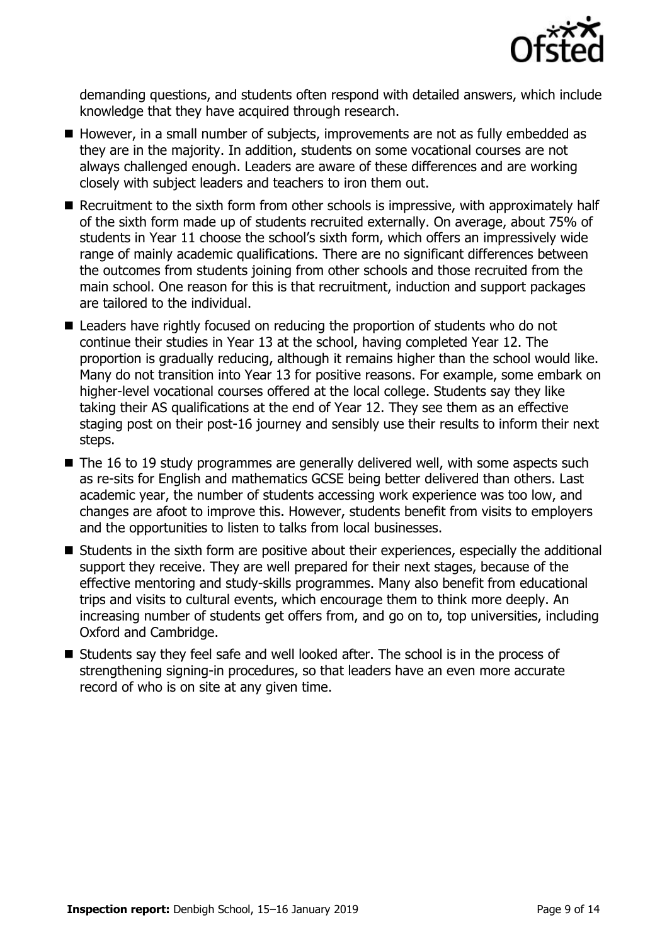

demanding questions, and students often respond with detailed answers, which include knowledge that they have acquired through research.

- However, in a small number of subjects, improvements are not as fully embedded as they are in the majority. In addition, students on some vocational courses are not always challenged enough. Leaders are aware of these differences and are working closely with subject leaders and teachers to iron them out.
- Recruitment to the sixth form from other schools is impressive, with approximately half of the sixth form made up of students recruited externally. On average, about 75% of students in Year 11 choose the school's sixth form, which offers an impressively wide range of mainly academic qualifications. There are no significant differences between the outcomes from students joining from other schools and those recruited from the main school. One reason for this is that recruitment, induction and support packages are tailored to the individual.
- Leaders have rightly focused on reducing the proportion of students who do not continue their studies in Year 13 at the school, having completed Year 12. The proportion is gradually reducing, although it remains higher than the school would like. Many do not transition into Year 13 for positive reasons. For example, some embark on higher-level vocational courses offered at the local college. Students say they like taking their AS qualifications at the end of Year 12. They see them as an effective staging post on their post-16 journey and sensibly use their results to inform their next steps.
- $\blacksquare$  The 16 to 19 study programmes are generally delivered well, with some aspects such as re-sits for English and mathematics GCSE being better delivered than others. Last academic year, the number of students accessing work experience was too low, and changes are afoot to improve this. However, students benefit from visits to employers and the opportunities to listen to talks from local businesses.
- Students in the sixth form are positive about their experiences, especially the additional support they receive. They are well prepared for their next stages, because of the effective mentoring and study-skills programmes. Many also benefit from educational trips and visits to cultural events, which encourage them to think more deeply. An increasing number of students get offers from, and go on to, top universities, including Oxford and Cambridge.
- Students say they feel safe and well looked after. The school is in the process of strengthening signing-in procedures, so that leaders have an even more accurate record of who is on site at any given time.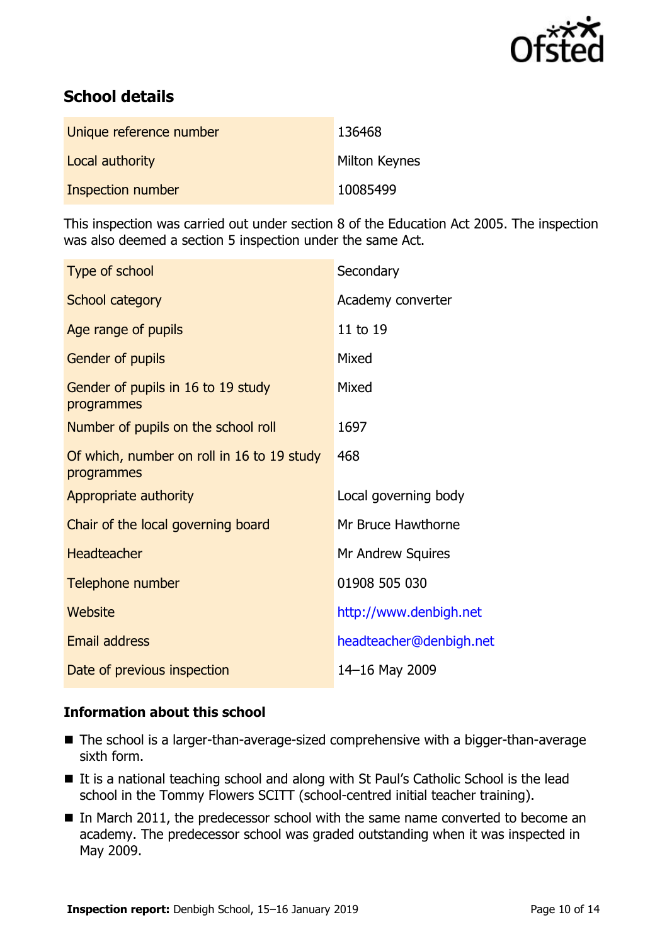

# **School details**

| Unique reference number | 136468               |
|-------------------------|----------------------|
| Local authority         | <b>Milton Keynes</b> |
| Inspection number       | 10085499             |

This inspection was carried out under section 8 of the Education Act 2005. The inspection was also deemed a section 5 inspection under the same Act.

| Type of school                                           | Secondary               |
|----------------------------------------------------------|-------------------------|
| School category                                          | Academy converter       |
| Age range of pupils                                      | 11 to 19                |
| Gender of pupils                                         | Mixed                   |
| Gender of pupils in 16 to 19 study<br>programmes         | Mixed                   |
| Number of pupils on the school roll                      | 1697                    |
| Of which, number on roll in 16 to 19 study<br>programmes | 468                     |
| Appropriate authority                                    | Local governing body    |
| Chair of the local governing board                       | Mr Bruce Hawthorne      |
| <b>Headteacher</b>                                       | Mr Andrew Squires       |
| Telephone number                                         | 01908 505 030           |
| Website                                                  | http://www.denbigh.net  |
| <b>Email address</b>                                     | headteacher@denbigh.net |
| Date of previous inspection                              | 14-16 May 2009          |

#### **Information about this school**

- The school is a larger-than-average-sized comprehensive with a bigger-than-average sixth form.
- It is a national teaching school and along with St Paul's Catholic School is the lead school in the Tommy Flowers SCITT (school-centred initial teacher training).
- In March 2011, the predecessor school with the same name converted to become an academy. The predecessor school was graded outstanding when it was inspected in May 2009.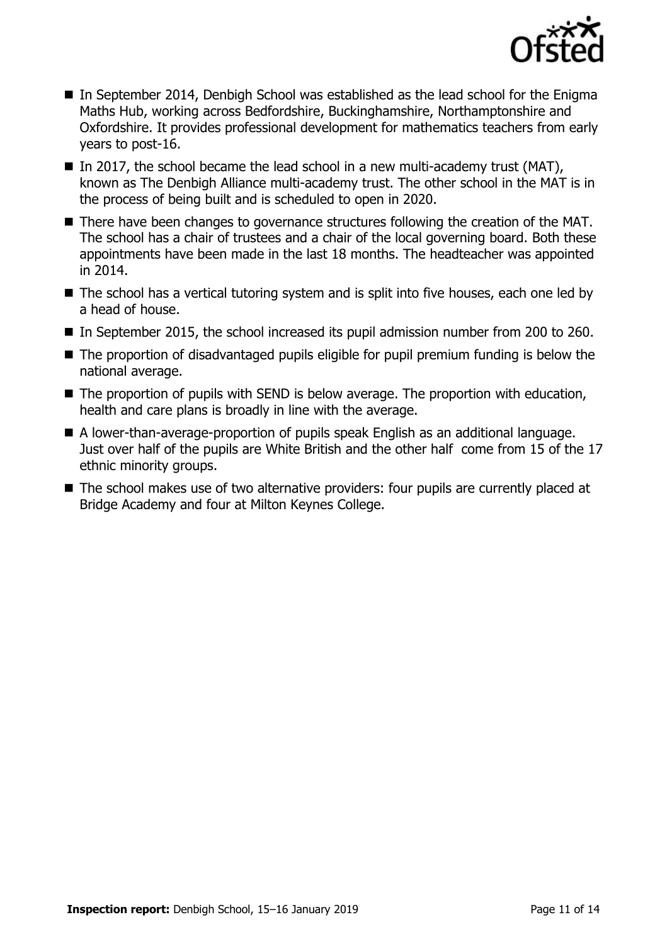

- In September 2014, Denbigh School was established as the lead school for the Enigma Maths Hub, working across Bedfordshire, Buckinghamshire, Northamptonshire and Oxfordshire. It provides professional development for mathematics teachers from early years to post-16.
- In 2017, the school became the lead school in a new multi-academy trust (MAT), known as The Denbigh Alliance multi-academy trust. The other school in the MAT is in the process of being built and is scheduled to open in 2020.
- There have been changes to governance structures following the creation of the MAT. The school has a chair of trustees and a chair of the local governing board. Both these appointments have been made in the last 18 months. The headteacher was appointed in 2014.
- The school has a vertical tutoring system and is split into five houses, each one led by a head of house.
- In September 2015, the school increased its pupil admission number from 200 to 260.
- The proportion of disadvantaged pupils eligible for pupil premium funding is below the national average.
- The proportion of pupils with SEND is below average. The proportion with education, health and care plans is broadly in line with the average.
- A lower-than-average-proportion of pupils speak English as an additional language. Just over half of the pupils are White British and the other half come from 15 of the 17 ethnic minority groups.
- The school makes use of two alternative providers: four pupils are currently placed at Bridge Academy and four at Milton Keynes College.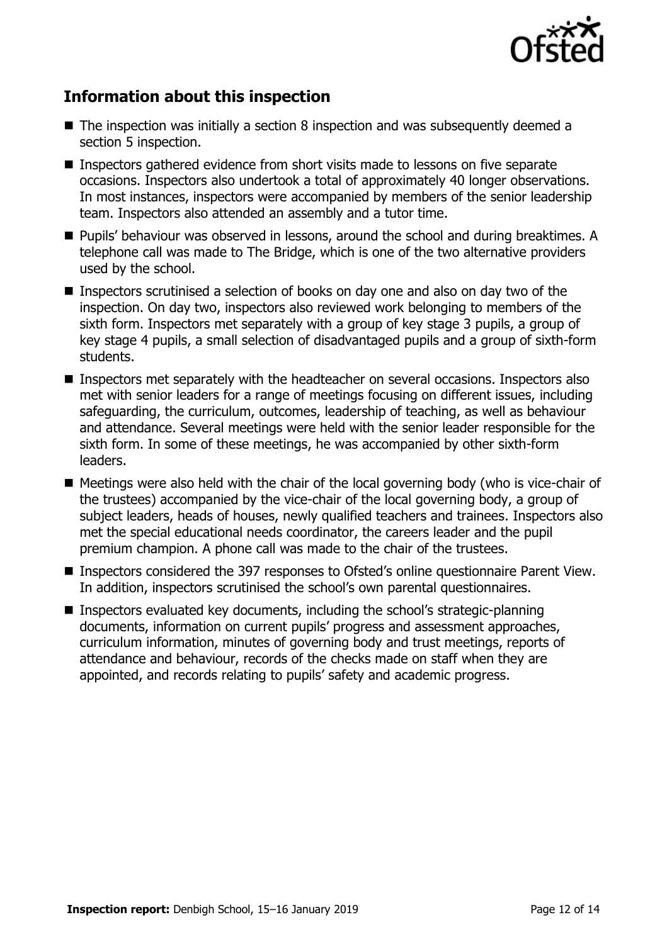

# **Information about this inspection**

- $\blacksquare$  The inspection was initially a section 8 inspection and was subsequently deemed a section 5 inspection.
- Inspectors gathered evidence from short visits made to lessons on five separate occasions. Inspectors also undertook a total of approximately 40 longer observations. In most instances, inspectors were accompanied by members of the senior leadership team. Inspectors also attended an assembly and a tutor time.
- Pupils' behaviour was observed in lessons, around the school and during breaktimes. A telephone call was made to The Bridge, which is one of the two alternative providers used by the school.
- Inspectors scrutinised a selection of books on day one and also on day two of the inspection. On day two, inspectors also reviewed work belonging to members of the sixth form. Inspectors met separately with a group of key stage 3 pupils, a group of key stage 4 pupils, a small selection of disadvantaged pupils and a group of sixth-form students.
- Inspectors met separately with the headteacher on several occasions. Inspectors also met with senior leaders for a range of meetings focusing on different issues, including safeguarding, the curriculum, outcomes, leadership of teaching, as well as behaviour and attendance. Several meetings were held with the senior leader responsible for the sixth form. In some of these meetings, he was accompanied by other sixth-form leaders.
- Meetings were also held with the chair of the local governing body (who is vice-chair of the trustees) accompanied by the vice-chair of the local governing body, a group of subject leaders, heads of houses, newly qualified teachers and trainees. Inspectors also met the special educational needs coordinator, the careers leader and the pupil premium champion. A phone call was made to the chair of the trustees.
- Inspectors considered the 397 responses to Ofsted's online questionnaire Parent View. In addition, inspectors scrutinised the school's own parental questionnaires.
- Inspectors evaluated key documents, including the school's strategic-planning documents, information on current pupils' progress and assessment approaches, curriculum information, minutes of governing body and trust meetings, reports of attendance and behaviour, records of the checks made on staff when they are appointed, and records relating to pupils' safety and academic progress.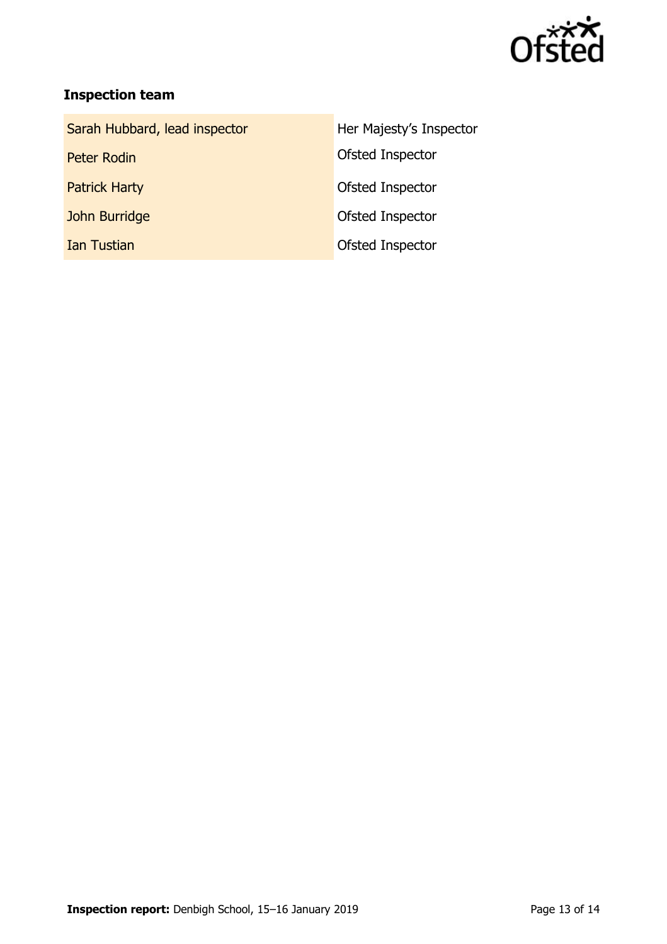

# **Inspection team**

| Sarah Hubbard, lead inspector | Her Majesty's Inspector |
|-------------------------------|-------------------------|
| Peter Rodin                   | Ofsted Inspector        |
| <b>Patrick Harty</b>          | Ofsted Inspector        |
| John Burridge                 | Ofsted Inspector        |
| <b>Ian Tustian</b>            | Ofsted Inspector        |